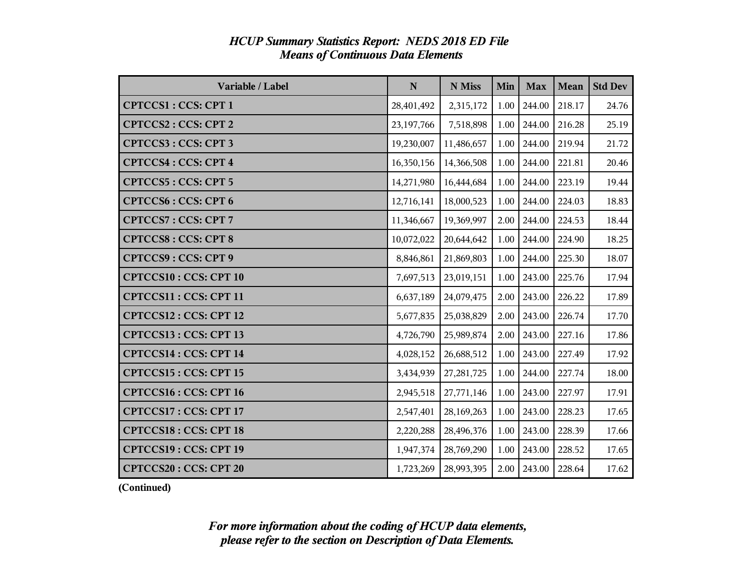| Variable / Label             | ${\bf N}$  | N Miss       | Min  | <b>Max</b> | <b>Mean</b> | <b>Std Dev</b> |
|------------------------------|------------|--------------|------|------------|-------------|----------------|
| <b>CPTCCS1: CCS: CPT 1</b>   | 28,401,492 | 2,315,172    | 1.00 | 244.00     | 218.17      | 24.76          |
| CPTCCS2: CCS: CPT 2          | 23,197,766 | 7,518,898    | 1.00 | 244.00     | 216.28      | 25.19          |
| <b>CPTCCS3: CCS: CPT 3</b>   | 19,230,007 | 11,486,657   | 1.00 | 244.00     | 219.94      | 21.72          |
| <b>CPTCCS4: CCS: CPT 4</b>   | 16,350,156 | 14,366,508   | 1.00 | 244.00     | 221.81      | 20.46          |
| <b>CPTCCS5: CCS: CPT 5</b>   | 14,271,980 | 16,444,684   | 1.00 | 244.00     | 223.19      | 19.44          |
| <b>CPTCCS6: CCS: CPT 6</b>   | 12,716,141 | 18,000,523   | 1.00 | 244.00     | 224.03      | 18.83          |
| <b>CPTCCS7: CCS: CPT 7</b>   | 11,346,667 | 19,369,997   | 2.00 | 244.00     | 224.53      | 18.44          |
| <b>CPTCCS8: CCS: CPT 8</b>   | 10,072,022 | 20,644,642   | 1.00 | 244.00     | 224.90      | 18.25          |
| <b>CPTCCS9: CCS: CPT 9</b>   | 8,846,861  | 21,869,803   | 1.00 | 244.00     | 225.30      | 18.07          |
| <b>CPTCCS10: CCS: CPT 10</b> | 7,697,513  | 23,019,151   | 1.00 | 243.00     | 225.76      | 17.94          |
| CPTCCS11 : CCS: CPT 11       | 6,637,189  | 24,079,475   | 2.00 | 243.00     | 226.22      | 17.89          |
| CPTCCS12: CCS: CPT 12        | 5,677,835  | 25,038,829   | 2.00 | 243.00     | 226.74      | 17.70          |
| CPTCCS13: CCS: CPT 13        | 4,726,790  | 25,989,874   | 2.00 | 243.00     | 227.16      | 17.86          |
| <b>CPTCCS14: CCS: CPT 14</b> | 4,028,152  | 26,688,512   | 1.00 | 243.00     | 227.49      | 17.92          |
| <b>CPTCCS15: CCS: CPT 15</b> | 3,434,939  | 27, 281, 725 | 1.00 | 244.00     | 227.74      | 18.00          |
| <b>CPTCCS16: CCS: CPT 16</b> | 2,945,518  | 27,771,146   | 1.00 | 243.00     | 227.97      | 17.91          |
| CPTCCS17: CCS: CPT 17        | 2,547,401  | 28,169,263   | 1.00 | 243.00     | 228.23      | 17.65          |
| <b>CPTCCS18: CCS: CPT 18</b> | 2,220,288  | 28,496,376   | 1.00 | 243.00     | 228.39      | 17.66          |
| CPTCCS19: CCS: CPT 19        | 1,947,374  | 28,769,290   | 1.00 | 243.00     | 228.52      | 17.65          |
| <b>CPTCCS20: CCS: CPT 20</b> | 1,723,269  | 28,993,395   | 2.00 | 243.00     | 228.64      | 17.62          |

#### *HCUP Summary Statistics Report: NEDS 2018 ED File Means of Continuous Data Elements*

**(Continued)**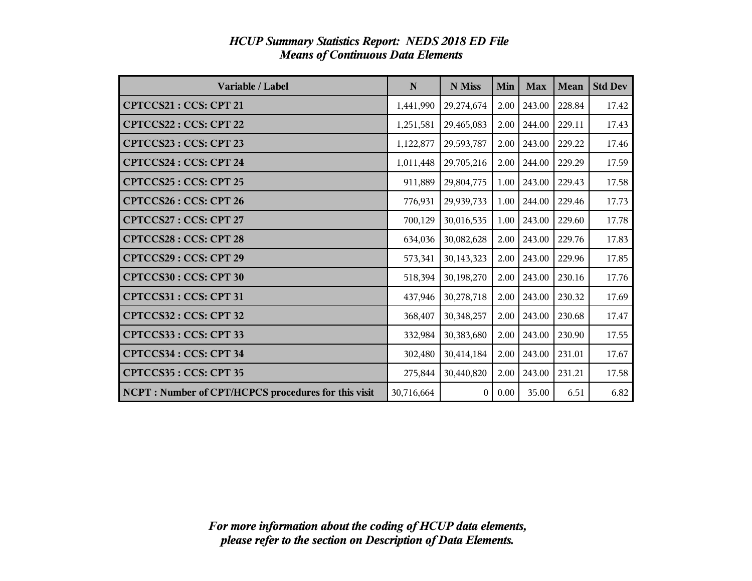| Variable / Label                                     | N          | N Miss       | Min  | <b>Max</b> | Mean   | <b>Std Dev</b> |
|------------------------------------------------------|------------|--------------|------|------------|--------|----------------|
| CPTCCS21: CCS: CPT 21                                | 1,441,990  | 29,274,674   | 2.00 | 243.00     | 228.84 | 17.42          |
| <b>CPTCCS22: CCS: CPT 22</b>                         | 1,251,581  | 29,465,083   | 2.00 | 244.00     | 229.11 | 17.43          |
| CPTCCS23: CCS: CPT 23                                | 1,122,877  | 29,593,787   | 2.00 | 243.00     | 229.22 | 17.46          |
| <b>CPTCCS24 : CCS: CPT 24</b>                        | 1,011,448  | 29,705,216   | 2.00 | 244.00     | 229.29 | 17.59          |
| CPTCCS25: CCS: CPT 25                                | 911,889    | 29,804,775   | 1.00 | 243.00     | 229.43 | 17.58          |
| <b>CPTCCS26: CCS: CPT 26</b>                         | 776,931    | 29,939,733   | 1.00 | 244.00     | 229.46 | 17.73          |
| CPTCCS27: CCS: CPT 27                                | 700,129    | 30,016,535   | 1.00 | 243.00     | 229.60 | 17.78          |
| <b>CPTCCS28: CCS: CPT 28</b>                         | 634,036    | 30,082,628   | 2.00 | 243.00     | 229.76 | 17.83          |
| CPTCCS29: CCS: CPT 29                                | 573,341    | 30,143,323   | 2.00 | 243.00     | 229.96 | 17.85          |
| CPTCCS30: CCS: CPT 30                                | 518,394    | 30,198,270   | 2.00 | 243.00     | 230.16 | 17.76          |
| CPTCCS31: CCS: CPT 31                                | 437,946    | 30,278,718   | 2.00 | 243.00     | 230.32 | 17.69          |
| CPTCCS32: CCS: CPT 32                                | 368,407    | 30,348,257   | 2.00 | 243.00     | 230.68 | 17.47          |
| CPTCCS33: CCS: CPT 33                                | 332,984    | 30,383,680   | 2.00 | 243.00     | 230.90 | 17.55          |
| CPTCCS34: CCS: CPT 34                                | 302,480    | 30,414,184   | 2.00 | 243.00     | 231.01 | 17.67          |
| CPTCCS35: CCS: CPT 35                                | 275,844    | 30,440,820   | 2.00 | 243.00     | 231.21 | 17.58          |
| NCPT : Number of CPT/HCPCS procedures for this visit | 30,716,664 | $\mathbf{0}$ | 0.00 | 35.00      | 6.51   | 6.82           |

#### *HCUP Summary Statistics Report: NEDS 2018 ED File Means of Continuous Data Elements*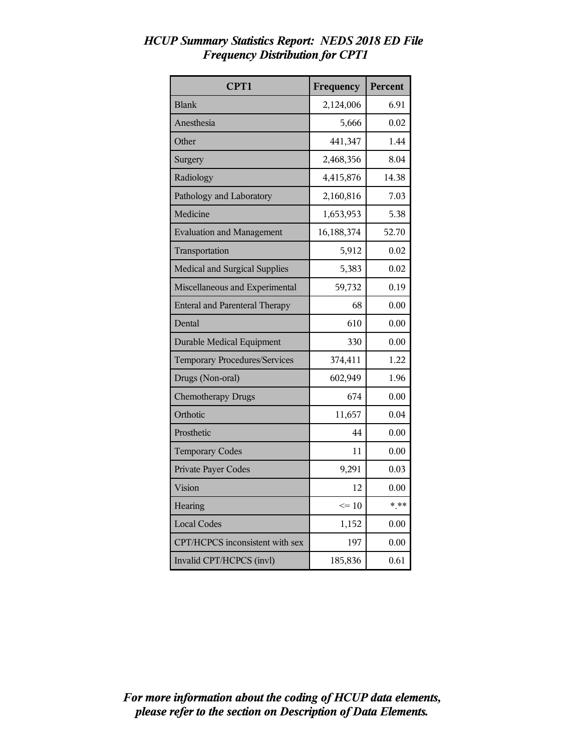| CPT1                                  | Frequency  | Percent |
|---------------------------------------|------------|---------|
| <b>Blank</b>                          | 2,124,006  | 6.91    |
| Anesthesia                            | 5,666      | 0.02    |
| Other                                 | 441,347    | 1.44    |
| Surgery                               | 2,468,356  | 8.04    |
| Radiology                             | 4,415,876  | 14.38   |
| Pathology and Laboratory              | 2,160,816  | 7.03    |
| Medicine                              | 1,653,953  | 5.38    |
| <b>Evaluation and Management</b>      | 16,188,374 | 52.70   |
| Transportation                        | 5,912      | 0.02    |
| Medical and Surgical Supplies         | 5,383      | 0.02    |
| Miscellaneous and Experimental        | 59,732     | 0.19    |
| <b>Enteral and Parenteral Therapy</b> | 68         | 0.00    |
| Dental                                | 610        | 0.00    |
| <b>Durable Medical Equipment</b>      | 330        | 0.00    |
| <b>Temporary Procedures/Services</b>  | 374,411    | 1.22    |
| Drugs (Non-oral)                      | 602,949    | 1.96    |
| <b>Chemotherapy Drugs</b>             | 674        | 0.00    |
| Orthotic                              | 11,657     | 0.04    |
| Prosthetic                            | 44         | 0.00    |
| <b>Temporary Codes</b>                | 11         | 0.00    |
| Private Payer Codes                   | 9,291      | 0.03    |
| Vision                                | 12         | 0.00    |
| Hearing                               | $\leq 10$  | $* * *$ |
| <b>Local Codes</b>                    | 1,152      | 0.00    |
| CPT/HCPCS inconsistent with sex       | 197        | 0.00    |
| Invalid CPT/HCPCS (invl)              | 185,836    | 0.61    |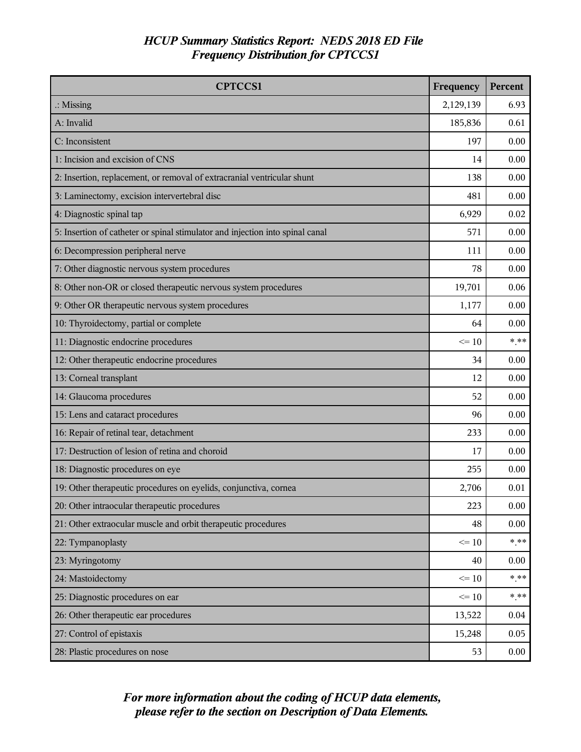| <b>CPTCCS1</b>                                                                | Frequency | Percent |
|-------------------------------------------------------------------------------|-----------|---------|
| $\therefore$ Missing                                                          | 2,129,139 | 6.93    |
| A: Invalid                                                                    | 185,836   | 0.61    |
| C: Inconsistent                                                               | 197       | 0.00    |
| 1: Incision and excision of CNS                                               | 14        | 0.00    |
| 2: Insertion, replacement, or removal of extracranial ventricular shunt       | 138       | 0.00    |
| 3: Laminectomy, excision intervertebral disc                                  | 481       | 0.00    |
| 4: Diagnostic spinal tap                                                      | 6,929     | 0.02    |
| 5: Insertion of catheter or spinal stimulator and injection into spinal canal | 571       | 0.00    |
| 6: Decompression peripheral nerve                                             | 111       | 0.00    |
| 7: Other diagnostic nervous system procedures                                 | 78        | 0.00    |
| 8: Other non-OR or closed therapeutic nervous system procedures               | 19,701    | 0.06    |
| 9: Other OR therapeutic nervous system procedures                             | 1,177     | 0.00    |
| 10: Thyroidectomy, partial or complete                                        | 64        | 0.00    |
| 11: Diagnostic endocrine procedures                                           | $\leq 10$ | $*$ **  |
| 12: Other therapeutic endocrine procedures                                    | 34        | 0.00    |
| 13: Corneal transplant                                                        | 12        | 0.00    |
| 14: Glaucoma procedures                                                       | 52        | 0.00    |
| 15: Lens and cataract procedures                                              | 96        | 0.00    |
| 16: Repair of retinal tear, detachment                                        | 233       | 0.00    |
| 17: Destruction of lesion of retina and choroid                               | 17        | 0.00    |
| 18: Diagnostic procedures on eye                                              | 255       | 0.00    |
| 19: Other therapeutic procedures on eyelids, conjunctiva, cornea              | 2,706     | 0.01    |
| 20: Other intraocular therapeutic procedures                                  | 223       | 0.00    |
| 21: Other extraocular muscle and orbit therapeutic procedures                 | 48        | 0.00    |
| 22: Tympanoplasty                                                             | $\leq 10$ | $***$   |
| 23: Myringotomy                                                               | 40        | 0.00    |
| 24: Mastoidectomy                                                             | $\leq 10$ | * **    |
| 25: Diagnostic procedures on ear                                              | $\leq 10$ | * **    |
| 26: Other therapeutic ear procedures                                          | 13,522    | 0.04    |
| 27: Control of epistaxis                                                      | 15,248    | 0.05    |
| 28: Plastic procedures on nose                                                | 53        | 0.00    |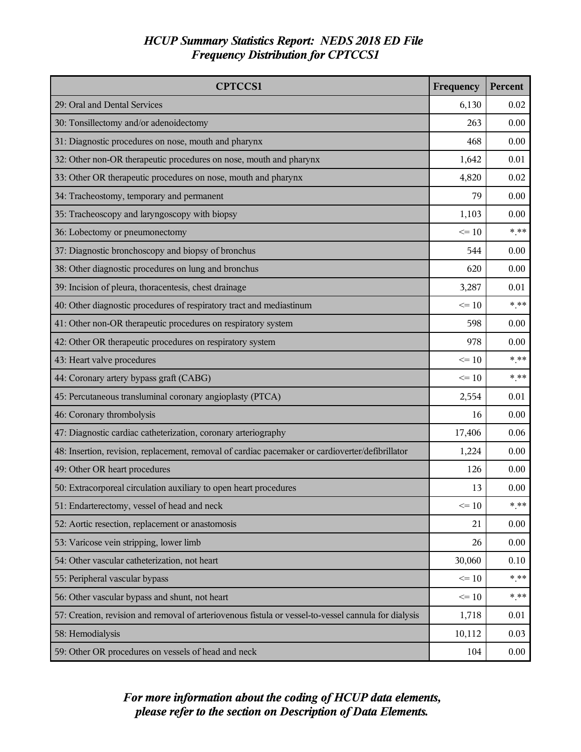| <b>CPTCCS1</b>                                                                                       | Frequency | Percent  |
|------------------------------------------------------------------------------------------------------|-----------|----------|
| 29: Oral and Dental Services                                                                         | 6,130     | 0.02     |
| 30: Tonsillectomy and/or adenoidectomy                                                               | 263       | 0.00     |
| 31: Diagnostic procedures on nose, mouth and pharynx                                                 | 468       | 0.00     |
| 32: Other non-OR therapeutic procedures on nose, mouth and pharynx                                   | 1,642     | 0.01     |
| 33: Other OR therapeutic procedures on nose, mouth and pharynx                                       | 4,820     | 0.02     |
| 34: Tracheostomy, temporary and permanent                                                            | 79        | 0.00     |
| 35: Tracheoscopy and laryngoscopy with biopsy                                                        | 1,103     | 0.00     |
| 36: Lobectomy or pneumonectomy                                                                       | $\leq 10$ | $* * *$  |
| 37: Diagnostic bronchoscopy and biopsy of bronchus                                                   | 544       | 0.00     |
| 38: Other diagnostic procedures on lung and bronchus                                                 | 620       | 0.00     |
| 39: Incision of pleura, thoracentesis, chest drainage                                                | 3,287     | 0.01     |
| 40: Other diagnostic procedures of respiratory tract and mediastinum                                 | $\leq$ 10 | $* * *$  |
| 41: Other non-OR therapeutic procedures on respiratory system                                        | 598       | 0.00     |
| 42: Other OR therapeutic procedures on respiratory system                                            | 978       | 0.00     |
| 43: Heart valve procedures                                                                           | $\leq 10$ | $*$ **   |
| 44: Coronary artery bypass graft (CABG)                                                              | $\leq$ 10 | $***$    |
| 45: Percutaneous transluminal coronary angioplasty (PTCA)                                            | 2,554     | 0.01     |
| 46: Coronary thrombolysis                                                                            | 16        | 0.00     |
| 47: Diagnostic cardiac catheterization, coronary arteriography                                       | 17,406    | 0.06     |
| 48: Insertion, revision, replacement, removal of cardiac pacemaker or cardioverter/defibrillator     | 1,224     | 0.00     |
| 49: Other OR heart procedures                                                                        | 126       | 0.00     |
| 50: Extracorporeal circulation auxiliary to open heart procedures                                    | 13        | 0.00     |
| 51: Endarterectomy, vessel of head and neck                                                          | $\leq 10$ | * **     |
| 52: Aortic resection, replacement or anastomosis                                                     | 21        | 0.00     |
| 53: Varicose vein stripping, lower limb                                                              | 26        | 0.00     |
| 54: Other vascular catheterization, not heart                                                        | 30,060    | 0.10     |
| 55: Peripheral vascular bypass                                                                       | $\leq 10$ | $*$ $**$ |
| 56: Other vascular bypass and shunt, not heart                                                       | $\leq 10$ | * **     |
| 57: Creation, revision and removal of arteriovenous fistula or vessel-to-vessel cannula for dialysis | 1,718     | 0.01     |
| 58: Hemodialysis                                                                                     | 10,112    | 0.03     |
| 59: Other OR procedures on vessels of head and neck                                                  | 104       | 0.00     |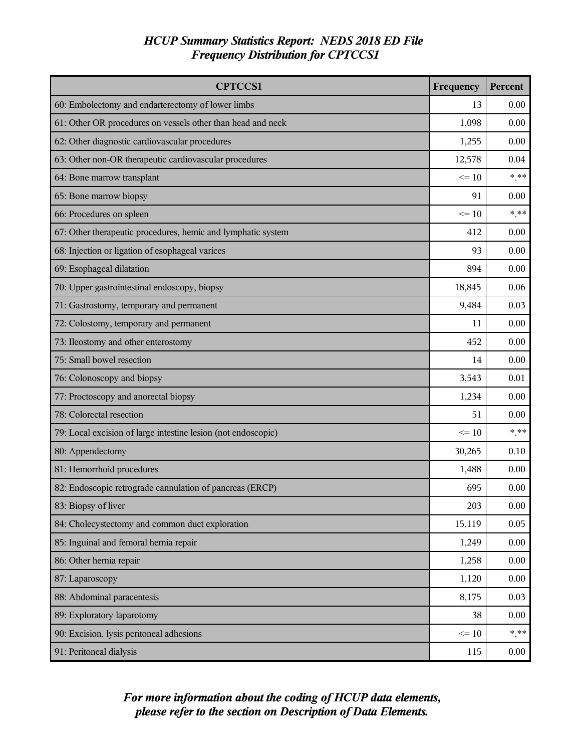| <b>CPTCCS1</b>                                                | Frequency | Percent |
|---------------------------------------------------------------|-----------|---------|
| 60: Embolectomy and endarterectomy of lower limbs             | 13        | 0.00    |
| 61: Other OR procedures on vessels other than head and neck   | 1,098     | 0.00    |
| 62: Other diagnostic cardiovascular procedures                | 1,255     | 0.00    |
| 63: Other non-OR therapeutic cardiovascular procedures        | 12,578    | 0.04    |
| 64: Bone marrow transplant                                    | $\leq 10$ | $***$   |
| 65: Bone marrow biopsy                                        |           | 0.00    |
| 66: Procedures on spleen                                      | $\leq 10$ | * **    |
| 67: Other therapeutic procedures, hemic and lymphatic system  | 412       | 0.00    |
| 68: Injection or ligation of esophageal varices               | 93        | 0.00    |
| 69: Esophageal dilatation                                     | 894       | 0.00    |
| 70: Upper gastrointestinal endoscopy, biopsy                  | 18,845    | 0.06    |
| 71: Gastrostomy, temporary and permanent                      | 9,484     | 0.03    |
| 72: Colostomy, temporary and permanent                        | 11        | 0.00    |
| 73: Ileostomy and other enterostomy                           | 452       | 0.00    |
| 75: Small bowel resection                                     |           | 0.00    |
| 76: Colonoscopy and biopsy                                    |           | 0.01    |
| 77: Proctoscopy and anorectal biopsy                          |           | 0.00    |
| 78: Colorectal resection                                      |           | 0.00    |
| 79: Local excision of large intestine lesion (not endoscopic) | $\leq 10$ | $*$ **  |
| 80: Appendectomy                                              | 30,265    | 0.10    |
| 81: Hemorrhoid procedures                                     | 1,488     | 0.00    |
| 82: Endoscopic retrograde cannulation of pancreas (ERCP)      | 695       | 0.00    |
| 83: Biopsy of liver                                           | 203       | 0.00    |
| 84: Cholecystectomy and common duct exploration               | 15,119    | 0.05    |
| 85: Inguinal and femoral hernia repair                        | 1,249     | 0.00    |
| 86: Other hernia repair                                       |           | 0.00    |
| 87: Laparoscopy                                               |           | 0.00    |
| 88: Abdominal paracentesis                                    |           | 0.03    |
| 89: Exploratory laparotomy                                    |           | 0.00    |
| 90: Excision, lysis peritoneal adhesions                      |           | $***$   |
| 91: Peritoneal dialysis                                       | 115       | 0.00    |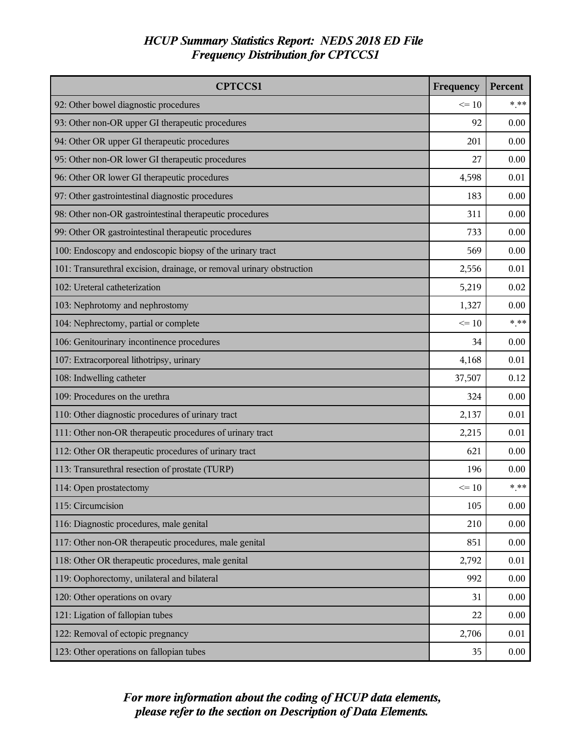| <b>CPTCCS1</b>                                                        | Frequency | Percent |
|-----------------------------------------------------------------------|-----------|---------|
| 92: Other bowel diagnostic procedures                                 | $\leq 10$ | $***$   |
| 93: Other non-OR upper GI therapeutic procedures                      | 92        | 0.00    |
| 94: Other OR upper GI therapeutic procedures                          | 201       | 0.00    |
| 95: Other non-OR lower GI therapeutic procedures                      | 27        | 0.00    |
| 96: Other OR lower GI therapeutic procedures                          | 4,598     | 0.01    |
| 97: Other gastrointestinal diagnostic procedures                      | 183       | 0.00    |
| 98: Other non-OR gastrointestinal therapeutic procedures              | 311       | 0.00    |
| 99: Other OR gastrointestinal therapeutic procedures                  | 733       | 0.00    |
| 100: Endoscopy and endoscopic biopsy of the urinary tract             | 569       | 0.00    |
| 101: Transurethral excision, drainage, or removal urinary obstruction | 2,556     | 0.01    |
| 102: Ureteral catheterization                                         | 5,219     | 0.02    |
| 103: Nephrotomy and nephrostomy                                       | 1,327     | 0.00    |
| 104: Nephrectomy, partial or complete                                 | $\leq 10$ | $*$ **  |
| 106: Genitourinary incontinence procedures                            | 34        | 0.00    |
| 107: Extracorporeal lithotripsy, urinary                              |           | 0.01    |
| 108: Indwelling catheter                                              |           | 0.12    |
| 109: Procedures on the urethra                                        |           | 0.00    |
| 110: Other diagnostic procedures of urinary tract                     |           | 0.01    |
| 111: Other non-OR therapeutic procedures of urinary tract             | 2,215     | 0.01    |
| 112: Other OR therapeutic procedures of urinary tract                 | 621       | 0.00    |
| 113: Transurethral resection of prostate (TURP)                       | 196       | 0.00    |
| 114: Open prostatectomy                                               | $\leq 10$ | $***$   |
| 115: Circumcision                                                     | 105       | 0.00    |
| 116: Diagnostic procedures, male genital                              | 210       | 0.00    |
| 117: Other non-OR therapeutic procedures, male genital                | 851       | 0.00    |
| 118: Other OR therapeutic procedures, male genital                    |           | 0.01    |
| 119: Oophorectomy, unilateral and bilateral                           |           | 0.00    |
| 120: Other operations on ovary                                        |           | 0.00    |
| 121: Ligation of fallopian tubes                                      |           | 0.00    |
| 122: Removal of ectopic pregnancy                                     |           | 0.01    |
| 123: Other operations on fallopian tubes                              | 35        | 0.00    |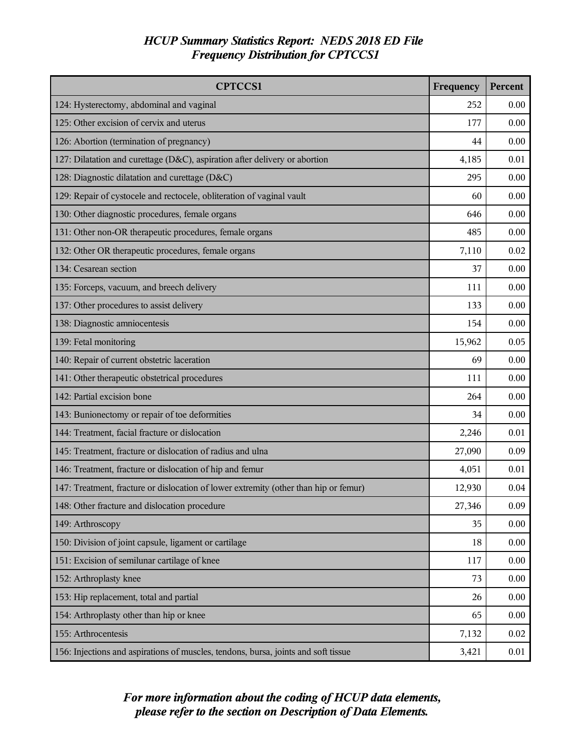| <b>CPTCCS1</b>                                                                       | Frequency | Percent |
|--------------------------------------------------------------------------------------|-----------|---------|
| 124: Hysterectomy, abdominal and vaginal                                             | 252       | 0.00    |
| 125: Other excision of cervix and uterus                                             | 177       | 0.00    |
| 126: Abortion (termination of pregnancy)                                             | 44        | 0.00    |
| 127: Dilatation and curettage (D&C), aspiration after delivery or abortion           | 4,185     | 0.01    |
| 128: Diagnostic dilatation and curettage (D&C)                                       | 295       | 0.00    |
| 129: Repair of cystocele and rectocele, obliteration of vaginal vault                | 60        | 0.00    |
| 130: Other diagnostic procedures, female organs                                      | 646       | 0.00    |
| 131: Other non-OR therapeutic procedures, female organs                              | 485       | 0.00    |
| 132: Other OR therapeutic procedures, female organs                                  | 7,110     | 0.02    |
| 134: Cesarean section                                                                | 37        | 0.00    |
| 135: Forceps, vacuum, and breech delivery                                            | 111       | 0.00    |
| 137: Other procedures to assist delivery                                             | 133       | 0.00    |
| 138: Diagnostic amniocentesis                                                        | 154       | 0.00    |
| 139: Fetal monitoring                                                                | 15,962    | 0.05    |
| 140: Repair of current obstetric laceration                                          | 69        | 0.00    |
| 141: Other therapeutic obstetrical procedures                                        |           | 0.00    |
| 142: Partial excision bone                                                           | 264       | 0.00    |
| 143: Bunionectomy or repair of toe deformities                                       |           | 0.00    |
| 144: Treatment, facial fracture or dislocation                                       |           | 0.01    |
| 145: Treatment, fracture or dislocation of radius and ulna                           | 27,090    | 0.09    |
| 146: Treatment, fracture or dislocation of hip and femur                             | 4,051     | 0.01    |
| 147: Treatment, fracture or dislocation of lower extremity (other than hip or femur) | 12,930    | 0.04    |
| 148: Other fracture and dislocation procedure                                        | 27,346    | 0.09    |
| 149: Arthroscopy                                                                     | 35        | 0.00    |
| 150: Division of joint capsule, ligament or cartilage                                | 18        | 0.00    |
| 151: Excision of semilunar cartilage of knee                                         | 117       | 0.00    |
| 152: Arthroplasty knee                                                               | 73        | 0.00    |
| 153: Hip replacement, total and partial                                              | 26        | 0.00    |
| 154: Arthroplasty other than hip or knee                                             |           | 0.00    |
| 155: Arthrocentesis                                                                  | 7,132     | 0.02    |
| 156: Injections and aspirations of muscles, tendons, bursa, joints and soft tissue   | 3,421     | 0.01    |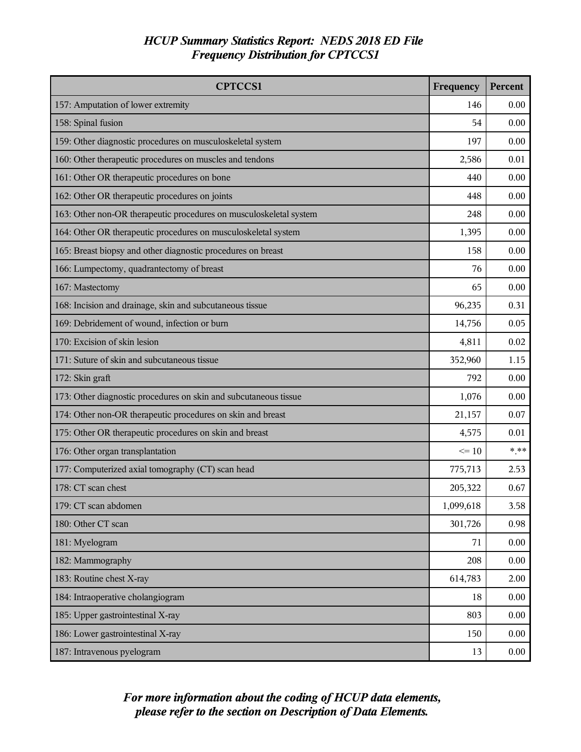| <b>CPTCCS1</b>                                                     | Frequency | Percent |
|--------------------------------------------------------------------|-----------|---------|
| 157: Amputation of lower extremity                                 | 146       | 0.00    |
| 158: Spinal fusion                                                 | 54        | 0.00    |
| 159: Other diagnostic procedures on musculoskeletal system         | 197       | 0.00    |
| 160: Other therapeutic procedures on muscles and tendons           | 2,586     | 0.01    |
| 161: Other OR therapeutic procedures on bone                       |           | 0.00    |
| 162: Other OR therapeutic procedures on joints                     | 448       | 0.00    |
| 163: Other non-OR therapeutic procedures on musculoskeletal system | 248       | 0.00    |
| 164: Other OR therapeutic procedures on musculoskeletal system     | 1,395     | 0.00    |
| 165: Breast biopsy and other diagnostic procedures on breast       | 158       | 0.00    |
| 166: Lumpectomy, quadrantectomy of breast                          | 76        | 0.00    |
| 167: Mastectomy                                                    | 65        | 0.00    |
| 168: Incision and drainage, skin and subcutaneous tissue           | 96,235    | 0.31    |
| 169: Debridement of wound, infection or burn                       | 14,756    | 0.05    |
| 170: Excision of skin lesion                                       | 4,811     | 0.02    |
| 171: Suture of skin and subcutaneous tissue                        | 352,960   | 1.15    |
| 172: Skin graft                                                    | 792       | 0.00    |
| 173: Other diagnostic procedures on skin and subcutaneous tissue   | 1,076     | 0.00    |
| 174: Other non-OR therapeutic procedures on skin and breast        |           | 0.07    |
| 175: Other OR therapeutic procedures on skin and breast            |           | 0.01    |
| 176: Other organ transplantation                                   | $\leq 10$ | * **    |
| 177: Computerized axial tomography (CT) scan head                  | 775,713   | 2.53    |
| 178: CT scan chest                                                 | 205,322   | 0.67    |
| 179: CT scan abdomen                                               | 1,099,618 | 3.58    |
| 180: Other CT scan                                                 | 301,726   | 0.98    |
| 181: Myelogram                                                     | 71        | 0.00    |
| 182: Mammography                                                   |           | 0.00    |
| 183: Routine chest X-ray                                           |           | 2.00    |
| 184: Intraoperative cholangiogram                                  |           | 0.00    |
| 185: Upper gastrointestinal X-ray                                  |           | 0.00    |
| 186: Lower gastrointestinal X-ray                                  |           | 0.00    |
| 187: Intravenous pyelogram                                         | 13        | 0.00    |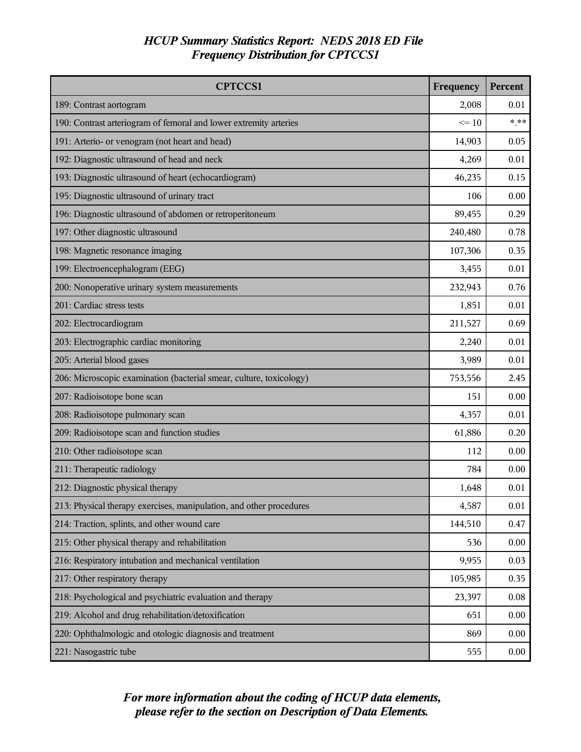| <b>CPTCCS1</b>                                                      | Frequency | Percent  |
|---------------------------------------------------------------------|-----------|----------|
| 189: Contrast aortogram                                             | 2,008     | 0.01     |
| 190: Contrast arteriogram of femoral and lower extremity arteries   | $\leq 10$ | $***$    |
| 191: Arterio- or venogram (not heart and head)                      | 14,903    | 0.05     |
| 192: Diagnostic ultrasound of head and neck                         | 4,269     | 0.01     |
| 193: Diagnostic ultrasound of heart (echocardiogram)                | 46,235    | 0.15     |
| 195: Diagnostic ultrasound of urinary tract                         |           | 0.00     |
| 196: Diagnostic ultrasound of abdomen or retroperitoneum            | 89,455    | 0.29     |
| 197: Other diagnostic ultrasound                                    | 240,480   | 0.78     |
| 198: Magnetic resonance imaging                                     | 107,306   | 0.35     |
| 199: Electroencephalogram (EEG)                                     | 3,455     | 0.01     |
| 200: Nonoperative urinary system measurements                       | 232,943   | 0.76     |
| 201: Cardiac stress tests                                           | 1,851     | 0.01     |
| 202: Electrocardiogram                                              | 211,527   | 0.69     |
| 203: Electrographic cardiac monitoring                              | 2,240     | 0.01     |
| 205: Arterial blood gases                                           | 3,989     | 0.01     |
| 206: Microscopic examination (bacterial smear, culture, toxicology) |           | 2.45     |
| 207: Radioisotope bone scan                                         | 151       | 0.00     |
| 208: Radioisotope pulmonary scan                                    |           | 0.01     |
| 209: Radioisotope scan and function studies                         | 61,886    | 0.20     |
| 210: Other radioisotope scan                                        | 112       | 0.00     |
| 211: Therapeutic radiology                                          | 784       | 0.00     |
| 212: Diagnostic physical therapy                                    | 1,648     | 0.01     |
| 213: Physical therapy exercises, manipulation, and other procedures | 4,587     | $0.01\,$ |
| 214: Traction, splints, and other wound care                        | 144,510   | 0.47     |
| 215: Other physical therapy and rehabilitation                      | 536       | 0.00     |
| 216: Respiratory intubation and mechanical ventilation              |           | 0.03     |
| 217: Other respiratory therapy                                      | 105,985   | 0.35     |
| 218: Psychological and psychiatric evaluation and therapy           |           | 0.08     |
| 219: Alcohol and drug rehabilitation/detoxification                 |           | 0.00     |
| 220: Ophthalmologic and otologic diagnosis and treatment            | 869       | 0.00     |
| 221: Nasogastric tube                                               | 555       | 0.00     |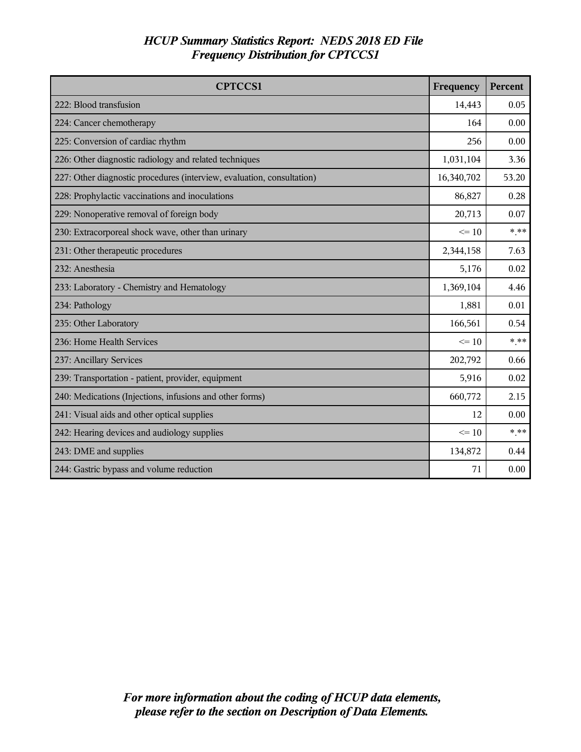| <b>CPTCCS1</b>                                                         | Frequency  | Percent |
|------------------------------------------------------------------------|------------|---------|
| 222: Blood transfusion                                                 | 14,443     | 0.05    |
| 224: Cancer chemotherapy                                               | 164        | 0.00    |
| 225: Conversion of cardiac rhythm                                      | 256        | 0.00    |
| 226: Other diagnostic radiology and related techniques                 | 1,031,104  | 3.36    |
| 227: Other diagnostic procedures (interview, evaluation, consultation) | 16,340,702 | 53.20   |
| 228: Prophylactic vaccinations and inoculations                        | 86,827     | 0.28    |
| 229: Nonoperative removal of foreign body                              | 20,713     | 0.07    |
| 230: Extracorporeal shock wave, other than urinary                     | $\leq$ 10  | $*$ **  |
| 231: Other therapeutic procedures                                      | 2,344,158  | 7.63    |
| 232: Anesthesia                                                        | 5,176      | 0.02    |
| 233: Laboratory - Chemistry and Hematology                             | 1,369,104  | 4.46    |
| 234: Pathology                                                         |            | 0.01    |
| 235: Other Laboratory                                                  | 166,561    | 0.54    |
| 236: Home Health Services                                              | $\leq 10$  | * **    |
| 237: Ancillary Services                                                | 202,792    | 0.66    |
| 239: Transportation - patient, provider, equipment                     | 5,916      | 0.02    |
| 240: Medications (Injections, infusions and other forms)               |            | 2.15    |
| 241: Visual aids and other optical supplies                            |            | 0.00    |
| 242: Hearing devices and audiology supplies                            |            | * **    |
| 243: DME and supplies                                                  | 134,872    | 0.44    |
| 244: Gastric bypass and volume reduction                               | 71         | 0.00    |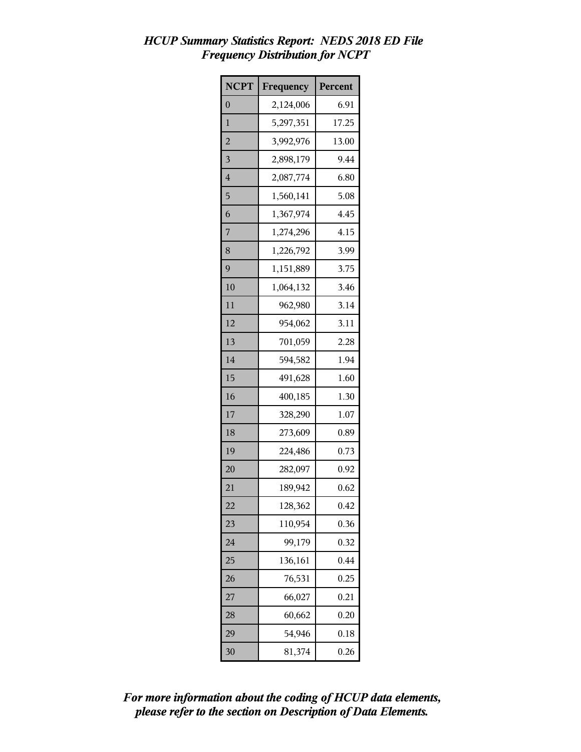| <b>NCPT</b>    | Frequency | Percent |
|----------------|-----------|---------|
| $\overline{0}$ | 2,124,006 | 6.91    |
| 1              | 5,297,351 | 17.25   |
| $\overline{c}$ | 3,992,976 | 13.00   |
| 3              | 2,898,179 | 9.44    |
| 4              | 2,087,774 | 6.80    |
| 5              | 1,560,141 | 5.08    |
| 6              | 1,367,974 | 4.45    |
| 7              | 1,274,296 | 4.15    |
| 8              | 1,226,792 | 3.99    |
| 9              | 1,151,889 | 3.75    |
| 10             | 1,064,132 | 3.46    |
| 11             | 962,980   | 3.14    |
| 12             | 954,062   | 3.11    |
| 13             | 701,059   | 2.28    |
| 14             | 594,582   | 1.94    |
| 15             | 491,628   | 1.60    |
| 16             | 400,185   | 1.30    |
| 17             | 328,290   | 1.07    |
| 18             | 273,609   | 0.89    |
| 19             | 224,486   | 0.73    |
| 20             | 282,097   | 0.92    |
| 21             | 189,942   | 0.62    |
| 22             | 128,362   | 0.42    |
| 23             | 110,954   | 0.36    |
| 24             | 99,179    | 0.32    |
| 25             | 136,161   | 0.44    |
| 26             | 76,531    | 0.25    |
| 27             | 66,027    | 0.21    |
| 28             | 60,662    | 0.20    |
| 29             | 54,946    | 0.18    |
| 30             | 81,374    | 0.26    |